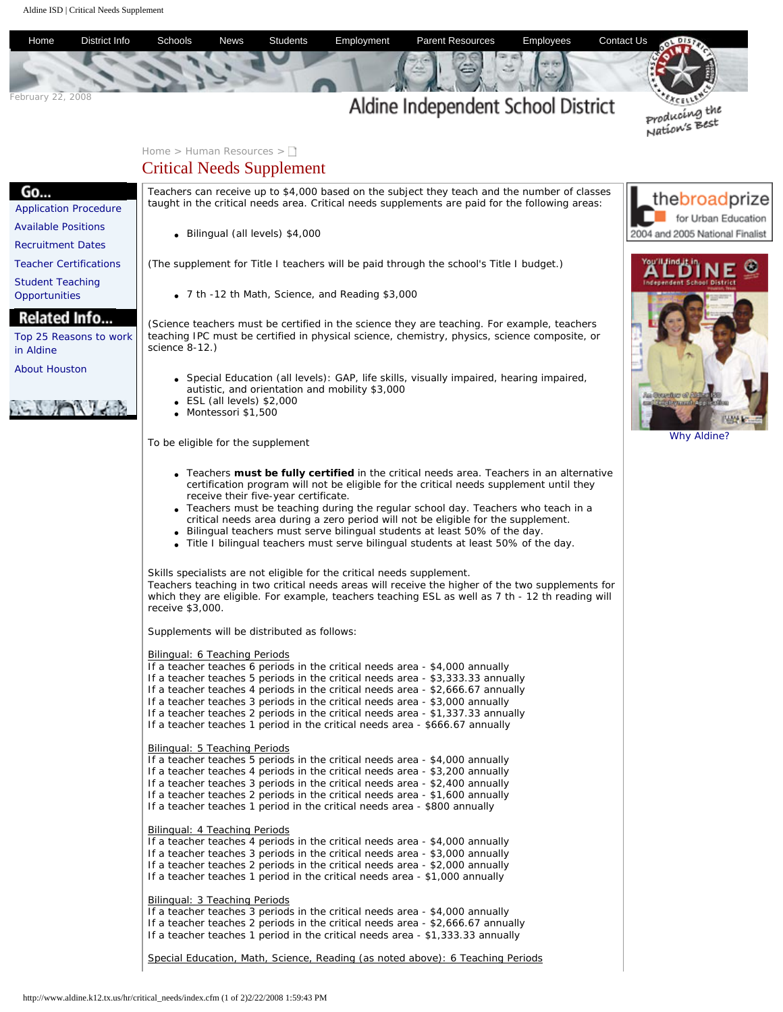<span id="page-0-0"></span>

## Bilingual: 3 Teaching Periods

If a teacher teaches 3 periods in the critical needs area - \$4,000 annually If a teacher teaches 2 periods in the critical needs area - \$2,666.67 annually If a teacher teaches 1 period in the critical needs area - \$1,333.33 annually

Special Education, Math, Science, Reading (as noted above): 6 Teaching Periods